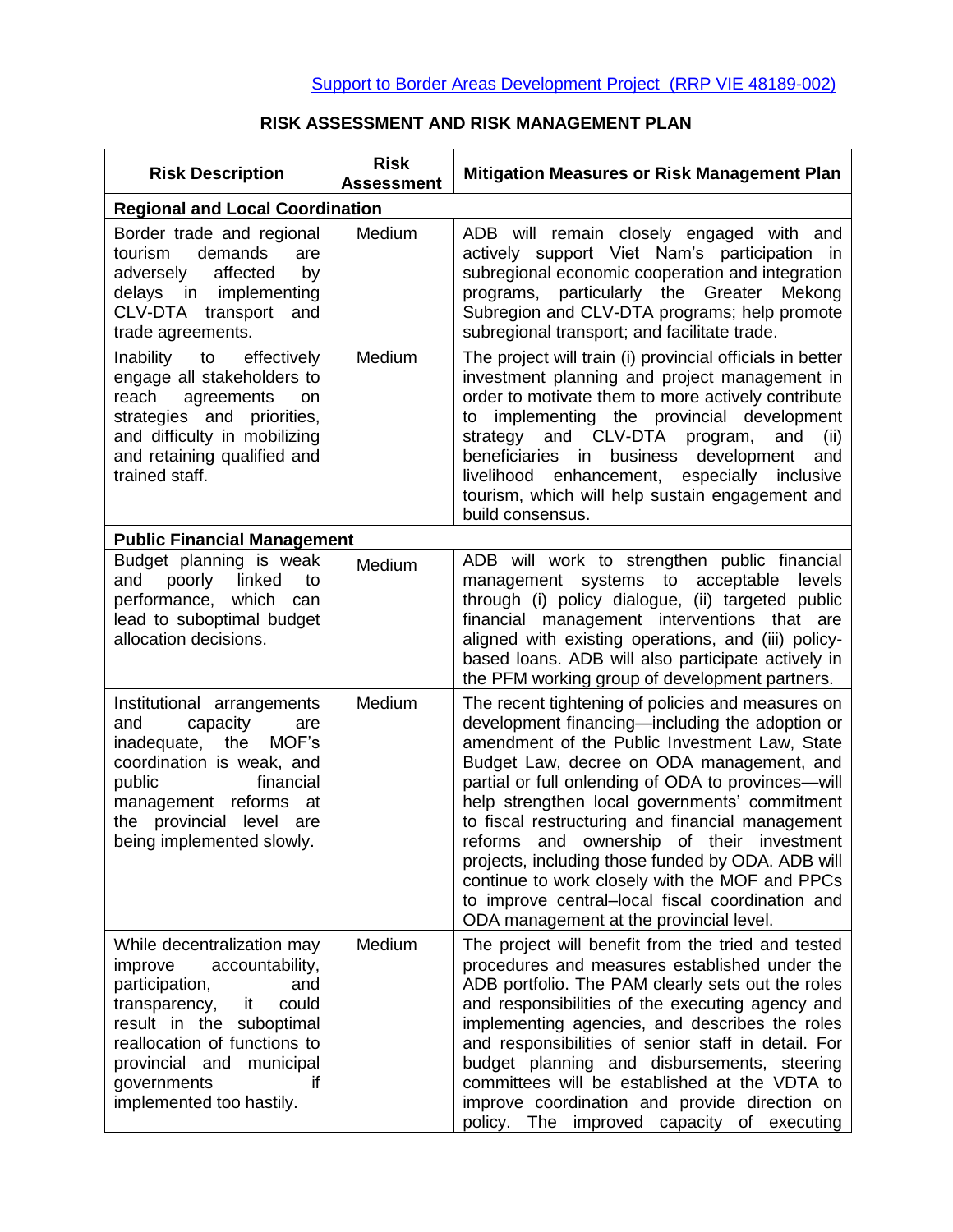## **RISK ASSESSMENT AND RISK MANAGEMENT PLAN**

| <b>Risk Description</b>                                                                                                                                                                                                                              | <b>Risk</b><br><b>Assessment</b> | <b>Mitigation Measures or Risk Management Plan</b>                                                                                                                                                                                                                                                                                                                                                                                                                                                                                                                                                               |  |  |
|------------------------------------------------------------------------------------------------------------------------------------------------------------------------------------------------------------------------------------------------------|----------------------------------|------------------------------------------------------------------------------------------------------------------------------------------------------------------------------------------------------------------------------------------------------------------------------------------------------------------------------------------------------------------------------------------------------------------------------------------------------------------------------------------------------------------------------------------------------------------------------------------------------------------|--|--|
| <b>Regional and Local Coordination</b>                                                                                                                                                                                                               |                                  |                                                                                                                                                                                                                                                                                                                                                                                                                                                                                                                                                                                                                  |  |  |
| Border trade and regional<br>demands<br>tourism<br>are<br>affected<br>adversely<br>by<br>delays in implementing<br>CLV-DTA transport<br>and<br>trade agreements.                                                                                     | Medium                           | ADB will remain closely engaged with and<br>actively support Viet Nam's participation in<br>subregional economic cooperation and integration<br>programs, particularly the Greater<br>Mekong<br>Subregion and CLV-DTA programs; help promote<br>subregional transport; and facilitate trade.                                                                                                                                                                                                                                                                                                                     |  |  |
| Inability to<br>effectively<br>engage all stakeholders to<br>reach<br>agreements<br>on<br>strategies and priorities,<br>and difficulty in mobilizing<br>and retaining qualified and<br>trained staff.                                                | Medium                           | The project will train (i) provincial officials in better<br>investment planning and project management in<br>order to motivate them to more actively contribute<br>to implementing the provincial development<br>strategy and CLV-DTA program,<br>and<br>(iii)<br>beneficiaries<br>in<br>business development<br>and<br>livelihood enhancement, especially<br>inclusive<br>tourism, which will help sustain engagement and<br>build consensus.                                                                                                                                                                  |  |  |
| <b>Public Financial Management</b>                                                                                                                                                                                                                   |                                  |                                                                                                                                                                                                                                                                                                                                                                                                                                                                                                                                                                                                                  |  |  |
| Budget planning is weak<br>poorly<br>linked<br>and<br>to<br>performance, which<br>can<br>lead to suboptimal budget<br>allocation decisions.                                                                                                          | Medium                           | ADB will work to strengthen public financial<br>management systems to acceptable<br>levels<br>through (i) policy dialogue, (ii) targeted public<br>financial management interventions that are<br>aligned with existing operations, and (iii) policy-<br>based loans. ADB will also participate actively in<br>the PFM working group of development partners.                                                                                                                                                                                                                                                    |  |  |
| Institutional arrangements<br>capacity<br>and<br>are<br>inadequate, the<br>MOF's<br>coordination is weak, and<br>public<br>financial<br>management reforms at<br>the provincial level are<br>being implemented slowly.                               | Medium                           | The recent tightening of policies and measures on<br>development financing—including the adoption or<br>amendment of the Public Investment Law, State<br>Budget Law, decree on ODA management, and<br>partial or full onlending of ODA to provinces-will<br>help strengthen local governments' commitment<br>to fiscal restructuring and financial management<br>reforms and ownership of their investment<br>projects, including those funded by ODA. ADB will<br>continue to work closely with the MOF and PPCs<br>to improve central-local fiscal coordination and<br>ODA management at the provincial level. |  |  |
| While decentralization may<br>improve<br>accountability,<br>participation,<br>and<br>transparency,<br>it<br>could<br>result in the suboptimal<br>reallocation of functions to<br>provincial and municipal<br>governments<br>implemented too hastily. | Medium                           | The project will benefit from the tried and tested<br>procedures and measures established under the<br>ADB portfolio. The PAM clearly sets out the roles<br>and responsibilities of the executing agency and<br>implementing agencies, and describes the roles<br>and responsibilities of senior staff in detail. For<br>budget planning and disbursements, steering<br>committees will be established at the VDTA to<br>improve coordination and provide direction on<br>policy. The improved capacity of executing                                                                                             |  |  |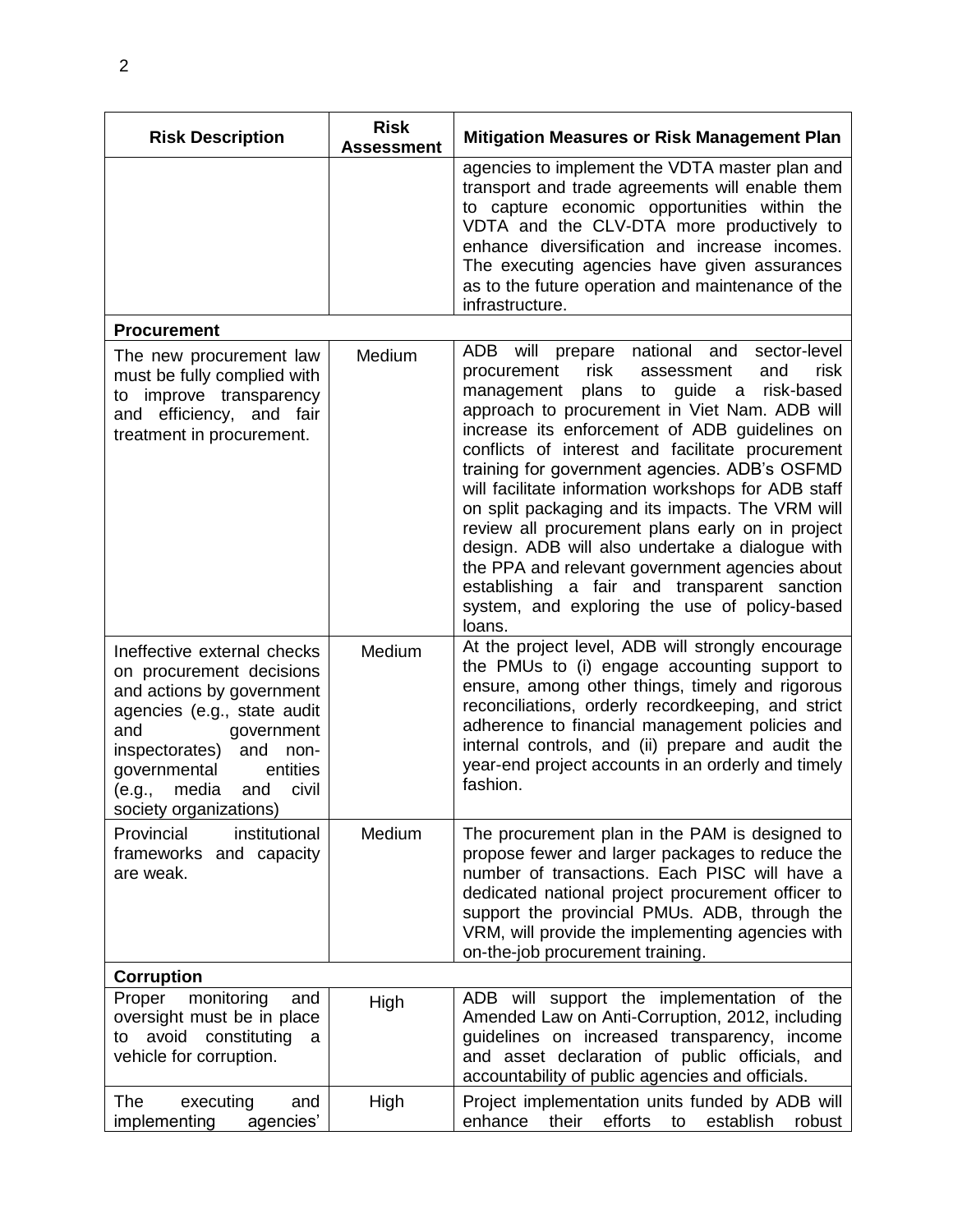| <b>Risk Description</b>                                                                                                                                                                                                                                            | <b>Risk</b><br><b>Assessment</b> | <b>Mitigation Measures or Risk Management Plan</b>                                                                                                                                                                                                                                                                                                                                                                                                                                                                                                                                                                                                                                                                                |  |  |
|--------------------------------------------------------------------------------------------------------------------------------------------------------------------------------------------------------------------------------------------------------------------|----------------------------------|-----------------------------------------------------------------------------------------------------------------------------------------------------------------------------------------------------------------------------------------------------------------------------------------------------------------------------------------------------------------------------------------------------------------------------------------------------------------------------------------------------------------------------------------------------------------------------------------------------------------------------------------------------------------------------------------------------------------------------------|--|--|
|                                                                                                                                                                                                                                                                    |                                  | agencies to implement the VDTA master plan and<br>transport and trade agreements will enable them<br>to capture economic opportunities within the<br>VDTA and the CLV-DTA more productively to<br>enhance diversification and increase incomes.<br>The executing agencies have given assurances<br>as to the future operation and maintenance of the<br>infrastructure.                                                                                                                                                                                                                                                                                                                                                           |  |  |
| <b>Procurement</b>                                                                                                                                                                                                                                                 |                                  |                                                                                                                                                                                                                                                                                                                                                                                                                                                                                                                                                                                                                                                                                                                                   |  |  |
| The new procurement law<br>must be fully complied with<br>to improve transparency<br>and efficiency, and fair<br>treatment in procurement.                                                                                                                         | Medium                           | ADB will prepare national and<br>sector-level<br>risk<br>risk<br>procurement<br>assessment<br>and<br>management plans to guide a risk-based<br>approach to procurement in Viet Nam. ADB will<br>increase its enforcement of ADB guidelines on<br>conflicts of interest and facilitate procurement<br>training for government agencies. ADB's OSFMD<br>will facilitate information workshops for ADB staff<br>on split packaging and its impacts. The VRM will<br>review all procurement plans early on in project<br>design. ADB will also undertake a dialogue with<br>the PPA and relevant government agencies about<br>establishing a fair and transparent sanction<br>system, and exploring the use of policy-based<br>loans. |  |  |
| Ineffective external checks<br>on procurement decisions<br>and actions by government<br>agencies (e.g., state audit<br>and<br>government<br>inspectorates)<br>and<br>non-<br>governmental<br>entities<br>media<br>civil<br>(e.g.,<br>and<br>society organizations) | Medium                           | At the project level, ADB will strongly encourage<br>the PMUs to (i) engage accounting support to<br>ensure, among other things, timely and rigorous<br>reconciliations, orderly recordkeeping, and strict<br>adherence to financial management policies and<br>internal controls, and (ii) prepare and audit the<br>year-end project accounts in an orderly and timely<br>fashion.                                                                                                                                                                                                                                                                                                                                               |  |  |
| Provincial<br>institutional<br>frameworks and capacity<br>are weak.                                                                                                                                                                                                | Medium                           | The procurement plan in the PAM is designed to<br>propose fewer and larger packages to reduce the<br>number of transactions. Each PISC will have a<br>dedicated national project procurement officer to<br>support the provincial PMUs. ADB, through the<br>VRM, will provide the implementing agencies with<br>on-the-job procurement training.                                                                                                                                                                                                                                                                                                                                                                                  |  |  |
| <b>Corruption</b>                                                                                                                                                                                                                                                  |                                  |                                                                                                                                                                                                                                                                                                                                                                                                                                                                                                                                                                                                                                                                                                                                   |  |  |
| monitoring<br>Proper<br>and<br>oversight must be in place<br>to avoid constituting<br>a<br>vehicle for corruption.                                                                                                                                                 | High                             | ADB will support the implementation of the<br>Amended Law on Anti-Corruption, 2012, including<br>guidelines on increased transparency, income<br>and asset declaration of public officials, and<br>accountability of public agencies and officials.                                                                                                                                                                                                                                                                                                                                                                                                                                                                               |  |  |
| The<br>executing<br>and<br>implementing<br>agencies'                                                                                                                                                                                                               | High                             | Project implementation units funded by ADB will<br>enhance<br>their<br>efforts<br>to<br>establish<br>robust                                                                                                                                                                                                                                                                                                                                                                                                                                                                                                                                                                                                                       |  |  |